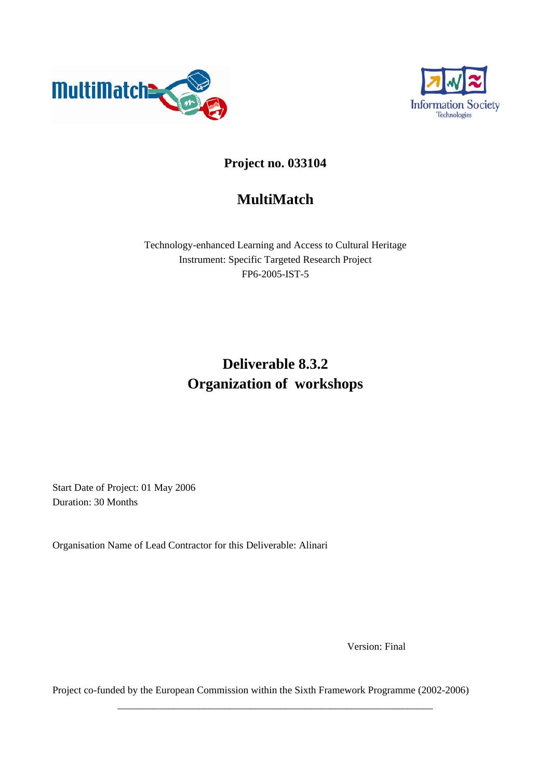



### **Project no. 033104**

## **MultiMatch**

Technology-enhanced Learning and Access to Cultural Heritage Instrument: Specific Targeted Research Project FP6-2005-IST-5

# **Deliverable 8.3.2 Organization of workshops**

Start Date of Project: 01 May 2006 Duration: 30 Months

Organisation Name of Lead Contractor for this Deliverable: Alinari

Version: Final

Project co-funded by the European Commission within the Sixth Framework Programme (2002-2006)

\_\_\_\_\_\_\_\_\_\_\_\_\_\_\_\_\_\_\_\_\_\_\_\_\_\_\_\_\_\_\_\_\_\_\_\_\_\_\_\_\_\_\_\_\_\_\_\_\_\_\_\_\_\_\_\_\_\_\_\_\_\_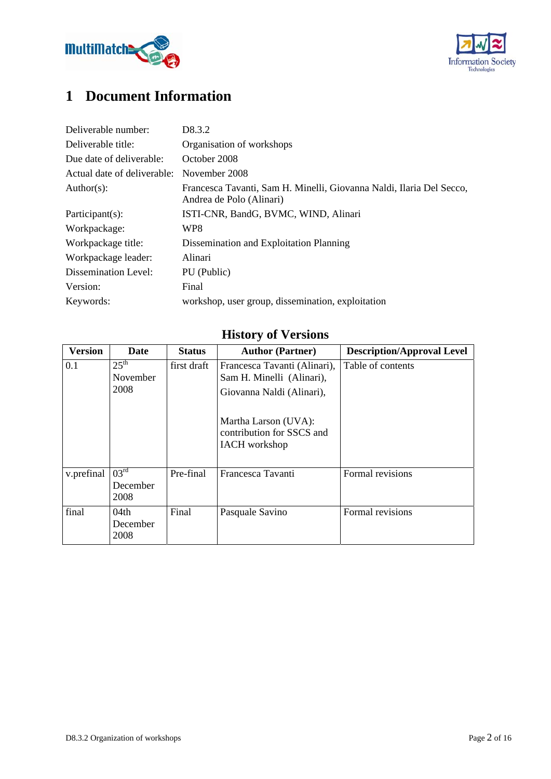



# **1 Document Information**

| Deliverable number:         | D <sub>8</sub> .3.2                                                                              |
|-----------------------------|--------------------------------------------------------------------------------------------------|
| Deliverable title:          | Organisation of workshops                                                                        |
| Due date of deliverable:    | October 2008                                                                                     |
| Actual date of deliverable: | November 2008                                                                                    |
| Author(s):                  | Francesca Tavanti, Sam H. Minelli, Giovanna Naldi, Ilaria Del Secco,<br>Andrea de Polo (Alinari) |
| Participant(s):             | ISTI-CNR, BandG, BVMC, WIND, Alinari                                                             |
| Workpackage:                | WP8                                                                                              |
| Workpackage title:          | Dissemination and Exploitation Planning                                                          |
| Workpackage leader:         | Alinari                                                                                          |
| Dissemination Level:        | PU (Public)                                                                                      |
| Version:                    | Final                                                                                            |
| Keywords:                   | workshop, user group, dissemination, exploitation                                                |

# **History of Versions**

| <b>Version</b> | <b>Date</b>                                 | <b>Status</b> | <b>Author (Partner)</b>                                                                                                                                             | <b>Description/Approval Level</b> |
|----------------|---------------------------------------------|---------------|---------------------------------------------------------------------------------------------------------------------------------------------------------------------|-----------------------------------|
| 0.1            | 25 <sup>th</sup><br><b>November</b><br>2008 | first draft   | Francesca Tavanti (Alinari),<br>Sam H. Minelli (Alinari),<br>Giovanna Naldi (Alinari),<br>Martha Larson (UVA):<br>contribution for SSCS and<br><b>IACH</b> workshop | Table of contents                 |
| v.prefinal     | $03^{\text{rd}}$<br>December<br>2008        | Pre-final     | Francesca Tavanti                                                                                                                                                   | Formal revisions                  |
| final          | 04th<br>December<br>2008                    | Final         | Pasquale Savino                                                                                                                                                     | Formal revisions                  |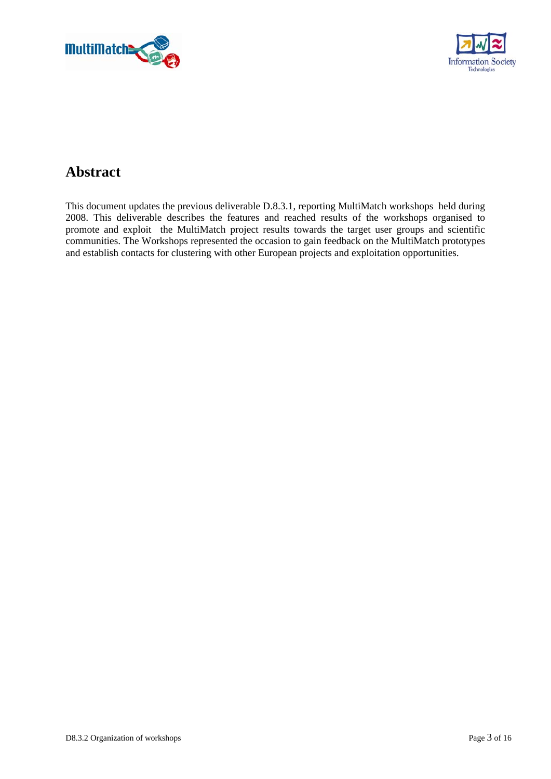



## **Abstract**

This document updates the previous deliverable D.8.3.1, reporting MultiMatch workshops held during 2008. This deliverable describes the features and reached results of the workshops organised to promote and exploit the MultiMatch project results towards the target user groups and scientific communities. The Workshops represented the occasion to gain feedback on the MultiMatch prototypes and establish contacts for clustering with other European projects and exploitation opportunities.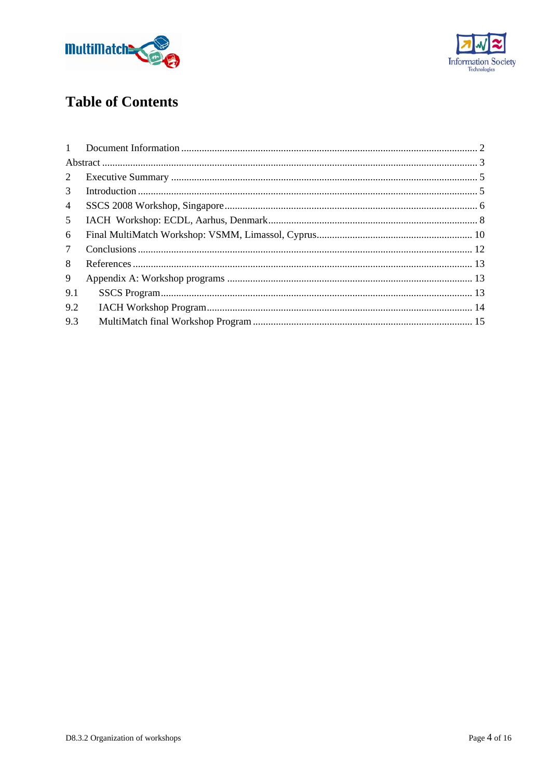



# **Table of Contents**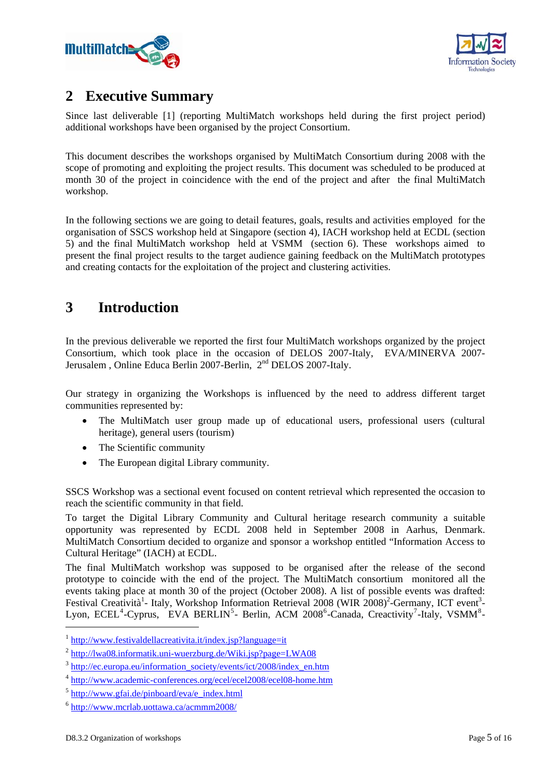



## **2 Executive Summary**

Since last deliverable [1] (reporting MultiMatch workshops held during the first project period) additional workshops have been organised by the project Consortium.

This document describes the workshops organised by MultiMatch Consortium during 2008 with the scope of promoting and exploiting the project results. This document was scheduled to be produced at month 30 of the project in coincidence with the end of the project and after the final MultiMatch workshop.

In the following sections we are going to detail features, goals, results and activities employed for the organisation of SSCS workshop held at Singapore (section 4), IACH workshop held at ECDL (section 5) and the final MultiMatch workshop held at VSMM (section 6). These workshops aimed to present the final project results to the target audience gaining feedback on the MultiMatch prototypes and creating contacts for the exploitation of the project and clustering activities.

## **3 Introduction**

In the previous deliverable we reported the first four MultiMatch workshops organized by the project Consortium, which took place in the occasion of DELOS 2007-Italy, EVA/MINERVA 2007- Jerusalem , Online Educa Berlin 2007-Berlin, 2nd DELOS 2007-Italy.

Our strategy in organizing the Workshops is influenced by the need to address different target communities represented by:

- The MultiMatch user group made up of educational users, professional users (cultural heritage), general users (tourism)
- The Scientific community
- The European digital Library community.

SSCS Workshop was a sectional event focused on content retrieval which represented the occasion to reach the scientific community in that field.

To target the Digital Library Community and Cultural heritage research community a suitable opportunity was represented by ECDL 2008 held in September 2008 in Aarhus, Denmark. MultiMatch Consortium decided to organize and sponsor a workshop entitled "Information Access to Cultural Heritage" (IACH) at ECDL.

The final MultiMatch workshop was supposed to be organised after the release of the second prototype to coincide with the end of the project. The MultiMatch consortium monitored all the events taking place at month 30 of the project (October 2008). A list of possible events was drafted: Festival Creatività<sup>1</sup>- Italy, Workshop Information Retrieval 2008 (WIR 2008)<sup>2</sup>-Germany, ICT event<sup>3</sup>-Lyon, ECEL<sup>4</sup>-Cyprus, EVA BERLIN<sup>5</sup>- Berlin, ACM 2008<sup>6</sup>-Canada, Creactivity<sup>7</sup>-Italy, VSMM<sup>8</sup>-

 $1$  http://www.festivaldellacreativita.it/index.jsp?language=it

 $^{2}$  http://lwa08.informatik.uni-wuerzburg.de/Wiki.jsp?page=LWA08

<sup>3</sup> http://ec.europa.eu/information\_society/events/ict/2008/index\_en.htm

<sup>4</sup> http://www.academic-conferences.org/ecel/ecel2008/ecel08-home.htm

 $5$  http://www.gfai.de/pinboard/eva/e\_index.html

<sup>6</sup> http://www.mcrlab.uottawa.ca/acmmm2008/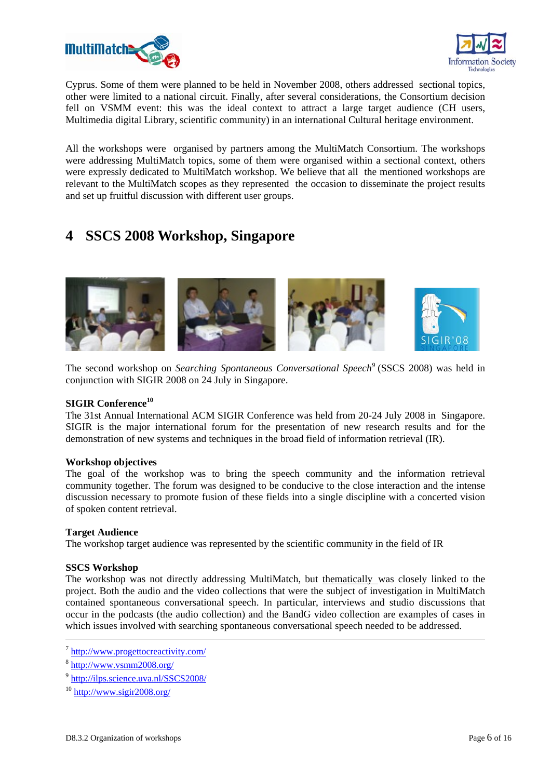



Cyprus. Some of them were planned to be held in November 2008, others addressed sectional topics, other were limited to a national circuit. Finally, after several considerations, the Consortium decision fell on VSMM event: this was the ideal context to attract a large target audience (CH users, Multimedia digital Library, scientific community) in an international Cultural heritage environment.

All the workshops were organised by partners among the MultiMatch Consortium. The workshops were addressing MultiMatch topics, some of them were organised within a sectional context, others were expressly dedicated to MultiMatch workshop. We believe that all the mentioned workshops are relevant to the MultiMatch scopes as they represented the occasion to disseminate the project results and set up fruitful discussion with different user groups.

### **4 SSCS 2008 Workshop, Singapore**



The second workshop on *Searching Spontaneous Conversational Speech<sup>9</sup>* (SSCS 2008) was held in conjunction with SIGIR 2008 on 24 July in Singapore.

### **SIGIR Conference<sup>10</sup>**

The 31st Annual International ACM SIGIR Conference was held from 20-24 July 2008 in Singapore. SIGIR is the major international forum for the presentation of new research results and for the demonstration of new systems and techniques in the broad field of information retrieval (IR).

### **Workshop objectives**

The goal of the workshop was to bring the speech community and the information retrieval community together. The forum was designed to be conducive to the close interaction and the intense discussion necessary to promote fusion of these fields into a single discipline with a concerted vision of spoken content retrieval.

### **Target Audience**

The workshop target audience was represented by the scientific community in the field of IR

### **SSCS Workshop**

The workshop was not directly addressing MultiMatch, but thematically was closely linked to the project. Both the audio and the video collections that were the subject of investigation in MultiMatch contained spontaneous conversational speech. In particular, interviews and studio discussions that occur in the podcasts (the audio collection) and the BandG video collection are examples of cases in which issues involved with searching spontaneous conversational speech needed to be addressed.

 <sup>7</sup> http://www.progettocreactivity.com/

<sup>8</sup> http://www.vsmm2008.org/

<sup>9</sup> http://ilps.science.uva.nl/SSCS2008/

 $10$  http://www.sigir2008.org/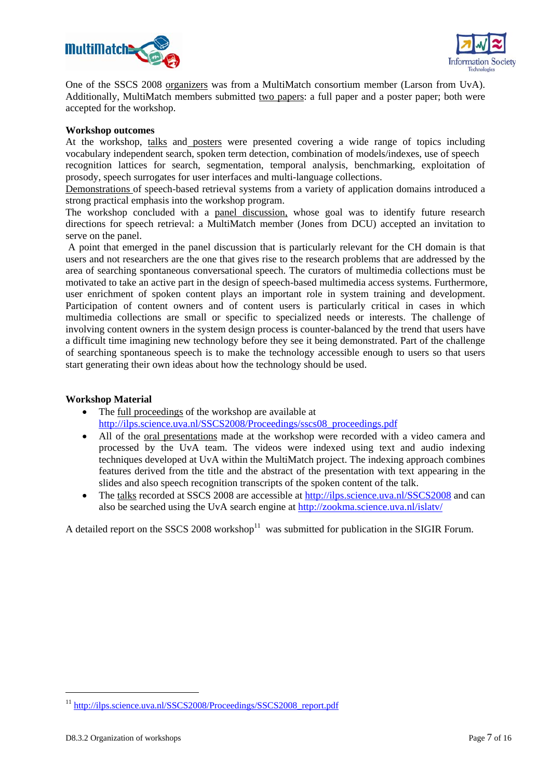



One of the SSCS 2008 organizers was from a MultiMatch consortium member (Larson from UvA). Additionally, MultiMatch members submitted two papers: a full paper and a poster paper; both were accepted for the workshop.

#### **Workshop outcomes**

At the workshop, talks and posters were presented covering a wide range of topics including vocabulary independent search, spoken term detection, combination of models/indexes, use of speech recognition lattices for search, segmentation, temporal analysis, benchmarking, exploitation of prosody, speech surrogates for user interfaces and multi-language collections.

Demonstrations of speech-based retrieval systems from a variety of application domains introduced a strong practical emphasis into the workshop program.

The workshop concluded with a panel discussion, whose goal was to identify future research directions for speech retrieval: a MultiMatch member (Jones from DCU) accepted an invitation to serve on the panel.

 A point that emerged in the panel discussion that is particularly relevant for the CH domain is that users and not researchers are the one that gives rise to the research problems that are addressed by the area of searching spontaneous conversational speech. The curators of multimedia collections must be motivated to take an active part in the design of speech-based multimedia access systems. Furthermore, user enrichment of spoken content plays an important role in system training and development. Participation of content owners and of content users is particularly critical in cases in which multimedia collections are small or specific to specialized needs or interests. The challenge of involving content owners in the system design process is counter-balanced by the trend that users have a difficult time imagining new technology before they see it being demonstrated. Part of the challenge of searching spontaneous speech is to make the technology accessible enough to users so that users start generating their own ideas about how the technology should be used.

### **Workshop Material**

- The full proceedings of the workshop are available at http://ilps.science.uva.nl/SSCS2008/Proceedings/sscs08\_proceedings.pdf
- All of the oral presentations made at the workshop were recorded with a video camera and processed by the UvA team. The videos were indexed using text and audio indexing techniques developed at UvA within the MultiMatch project. The indexing approach combines features derived from the title and the abstract of the presentation with text appearing in the slides and also speech recognition transcripts of the spoken content of the talk.
- The talks recorded at SSCS 2008 are accessible at http://ilps.science.uva.nl/SSCS2008 and can also be searched using the UvA search engine at http://zookma.science.uva.nl/islatv/

A detailed report on the SSCS 2008 workshop $11$  was submitted for publication in the SIGIR Forum.

-

<sup>&</sup>lt;sup>11</sup> http://ilps.science.uva.nl/SSCS2008/Proceedings/SSCS2008\_report.pdf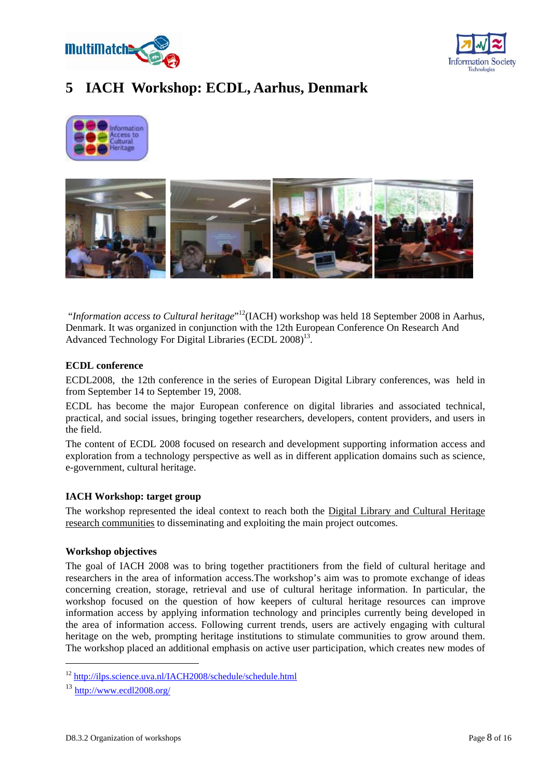



### **5 IACH Workshop: ECDL, Aarhus, Denmark**





"Information access to Cultural heritage"<sup>12</sup>(IACH) workshop was held 18 September 2008 in Aarhus, Denmark. It was organized in conjunction with the 12th European Conference On Research And Advanced Technology For Digital Libraries (ECDL 2008)<sup>13</sup>.

#### **ECDL conference**

ECDL2008, the 12th conference in the series of European Digital Library conferences, was held in from September 14 to September 19, 2008.

ECDL has become the major European conference on digital libraries and associated technical, practical, and social issues, bringing together researchers, developers, content providers, and users in the field.

The content of ECDL 2008 focused on research and development supporting information access and exploration from a technology perspective as well as in different application domains such as science, e-government, cultural heritage.

### **IACH Workshop: target group**

The workshop represented the ideal context to reach both the Digital Library and Cultural Heritage research communities to disseminating and exploiting the main project outcomes.

#### **Workshop objectives**

The goal of IACH 2008 was to bring together practitioners from the field of cultural heritage and researchers in the area of information access.The workshop's aim was to promote exchange of ideas concerning creation, storage, retrieval and use of cultural heritage information. In particular, the workshop focused on the question of how keepers of cultural heritage resources can improve information access by applying information technology and principles currently being developed in the area of information access. Following current trends, users are actively engaging with cultural heritage on the web, prompting heritage institutions to stimulate communities to grow around them. The workshop placed an additional emphasis on active user participation, which creates new modes of

<sup>12</sup> http://ilps.science.uva.nl/IACH2008/schedule/schedule.html

 $13$  http://www.ecdl2008.org/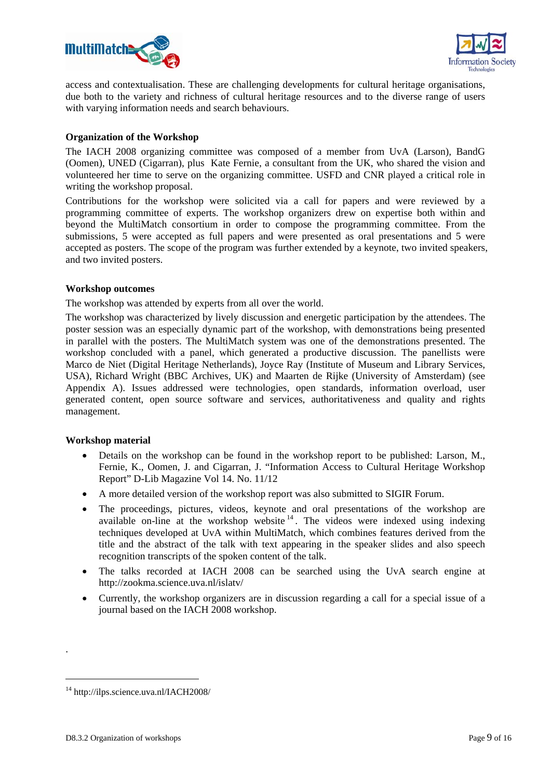



access and contextualisation. These are challenging developments for cultural heritage organisations, due both to the variety and richness of cultural heritage resources and to the diverse range of users with varying information needs and search behaviours.

### **Organization of the Workshop**

The IACH 2008 organizing committee was composed of a member from UvA (Larson), BandG (Oomen), UNED (Cigarran), plus Kate Fernie, a consultant from the UK, who shared the vision and volunteered her time to serve on the organizing committee. USFD and CNR played a critical role in writing the workshop proposal.

Contributions for the workshop were solicited via a call for papers and were reviewed by a programming committee of experts. The workshop organizers drew on expertise both within and beyond the MultiMatch consortium in order to compose the programming committee. From the submissions, 5 were accepted as full papers and were presented as oral presentations and 5 were accepted as posters. The scope of the program was further extended by a keynote, two invited speakers, and two invited posters.

### **Workshop outcomes**

The workshop was attended by experts from all over the world.

The workshop was characterized by lively discussion and energetic participation by the attendees. The poster session was an especially dynamic part of the workshop, with demonstrations being presented in parallel with the posters. The MultiMatch system was one of the demonstrations presented. The workshop concluded with a panel, which generated a productive discussion. The panellists were Marco de Niet (Digital Heritage Netherlands), Joyce Ray (Institute of Museum and Library Services, USA), Richard Wright (BBC Archives, UK) and Maarten de Rijke (University of Amsterdam) (see Appendix A). Issues addressed were technologies, open standards, information overload, user generated content, open source software and services, authoritativeness and quality and rights management.

### **Workshop material**

- Details on the workshop can be found in the workshop report to be published: Larson, M., Fernie, K., Oomen, J. and Cigarran, J. "Information Access to Cultural Heritage Workshop Report" D-Lib Magazine Vol 14. No. 11/12
- A more detailed version of the workshop report was also submitted to SIGIR Forum.
- The proceedings, pictures, videos, keynote and oral presentations of the workshop are available on-line at the workshop website  $14$ . The videos were indexed using indexing techniques developed at UvA within MultiMatch, which combines features derived from the title and the abstract of the talk with text appearing in the speaker slides and also speech recognition transcripts of the spoken content of the talk.
- The talks recorded at IACH 2008 can be searched using the UvA search engine at http://zookma.science.uva.nl/islatv/
- Currently, the workshop organizers are in discussion regarding a call for a special issue of a journal based on the IACH 2008 workshop.

.

<sup>14</sup> http://ilps.science.uva.nl/IACH2008/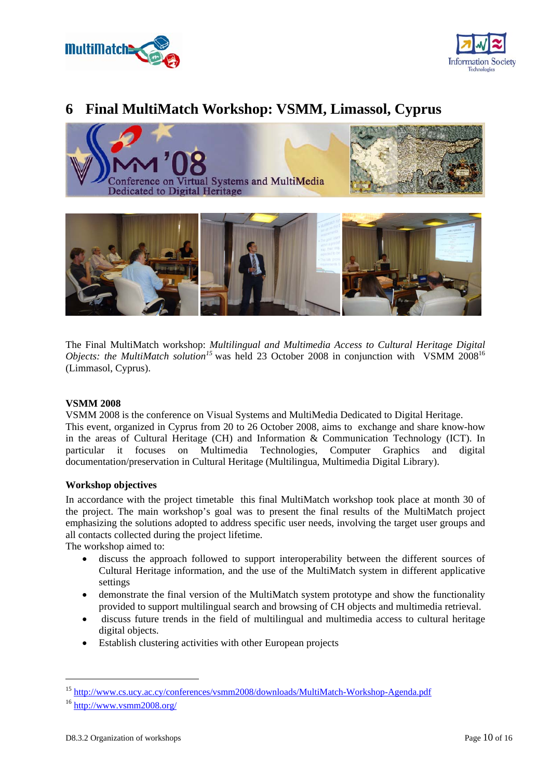



### **6 Final MultiMatch Workshop: VSMM, Limassol, Cyprus**



The Final MultiMatch workshop: *Multilingual and Multimedia Access to Cultural Heritage Digital Objects: the MultiMatch solution*<sup>15</sup> was held 23 October 2008 in conjunction with VSMM 2008<sup>16</sup> (Limmasol, Cyprus).

#### **VSMM 2008**

VSMM 2008 is the conference on Visual Systems and MultiMedia Dedicated to Digital Heritage.

This event, organized in Cyprus from 20 to 26 October 2008, aims to exchange and share know-how in the areas of Cultural Heritage (CH) and Information & Communication Technology (ICT). In particular it focuses on Multimedia Technologies, Computer Graphics and digital documentation/preservation in Cultural Heritage (Multilingua, Multimedia Digital Library).

### **Workshop objectives**

In accordance with the project timetable this final MultiMatch workshop took place at month 30 of the project. The main workshop's goal was to present the final results of the MultiMatch project emphasizing the solutions adopted to address specific user needs, involving the target user groups and all contacts collected during the project lifetime.

The workshop aimed to:

- discuss the approach followed to support interoperability between the different sources of Cultural Heritage information, and the use of the MultiMatch system in different applicative settings
- demonstrate the final version of the MultiMatch system prototype and show the functionality provided to support multilingual search and browsing of CH objects and multimedia retrieval.
- discuss future trends in the field of multilingual and multimedia access to cultural heritage digital objects.
- Establish clustering activities with other European projects

<sup>15</sup> http://www.cs.ucy.ac.cy/conferences/vsmm2008/downloads/MultiMatch-Workshop-Agenda.pdf

<sup>16</sup> http://www.vsmm2008.org/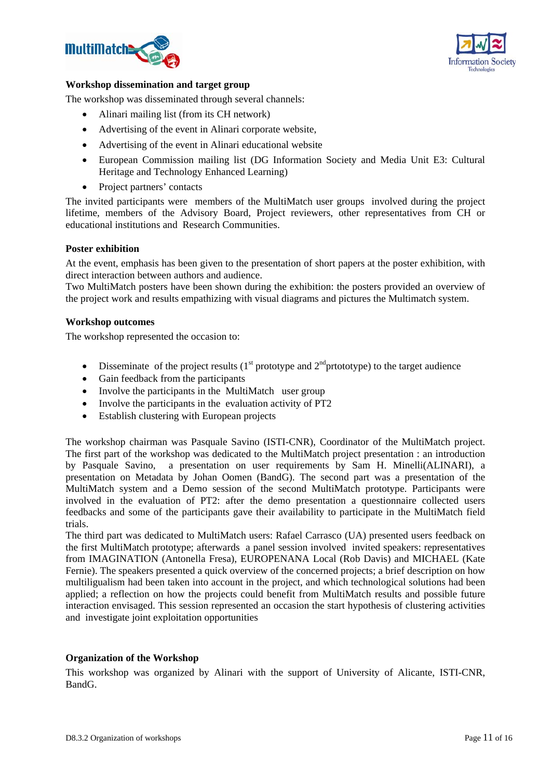



#### **Workshop dissemination and target group**

The workshop was disseminated through several channels:

- Alinari mailing list (from its CH network)
- Advertising of the event in Alinari corporate website,
- Advertising of the event in Alinari educational website
- European Commission mailing list (DG Information Society and Media Unit E3: Cultural Heritage and Technology Enhanced Learning)
- Project partners' contacts

The invited participants were members of the MultiMatch user groups involved during the project lifetime, members of the Advisory Board, Project reviewers, other representatives from CH or educational institutions and Research Communities.

#### **Poster exhibition**

At the event, emphasis has been given to the presentation of short papers at the poster exhibition, with direct interaction between authors and audience.

Two MultiMatch posters have been shown during the exhibition: the posters provided an overview of the project work and results empathizing with visual diagrams and pictures the Multimatch system.

#### **Workshop outcomes**

The workshop represented the occasion to:

- Disseminate of the project results  $(1<sup>st</sup>$  prototype and  $2<sup>nd</sup>$  prototype) to the target audience
- Gain feedback from the participants
- Involve the participants in the MultiMatch user group
- Involve the participants in the evaluation activity of PT2
- Establish clustering with European projects

The workshop chairman was Pasquale Savino (ISTI-CNR), Coordinator of the MultiMatch project. The first part of the workshop was dedicated to the MultiMatch project presentation : an introduction by Pasquale Savino, a presentation on user requirements by Sam H. Minelli(ALINARI), a presentation on Metadata by Johan Oomen (BandG). The second part was a presentation of the MultiMatch system and a Demo session of the second MultiMatch prototype. Participants were involved in the evaluation of PT2: after the demo presentation a questionnaire collected users feedbacks and some of the participants gave their availability to participate in the MultiMatch field trials.

The third part was dedicated to MultiMatch users: Rafael Carrasco (UA) presented users feedback on the first MultiMatch prototype; afterwards a panel session involved invited speakers: representatives from IMAGINATION (Antonella Fresa), EUROPENANA Local (Rob Davis) and MICHAEL (Kate Fernie). The speakers presented a quick overview of the concerned projects; a brief description on how multiligualism had been taken into account in the project, and which technological solutions had been applied; a reflection on how the projects could benefit from MultiMatch results and possible future interaction envisaged. This session represented an occasion the start hypothesis of clustering activities and investigate joint exploitation opportunities

#### **Organization of the Workshop**

This workshop was organized by Alinari with the support of University of Alicante, ISTI-CNR, BandG.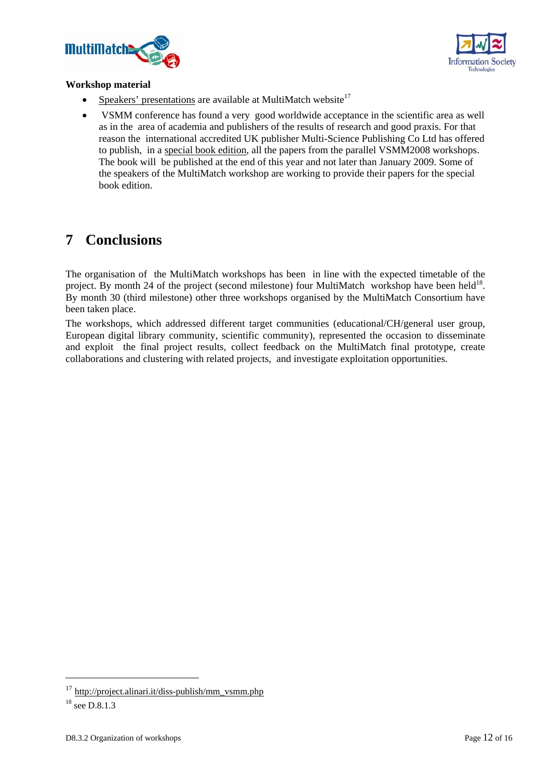



#### **Workshop material**

- Speakers' presentations are available at MultiMatch website<sup>17</sup>
- VSMM conference has found a very good worldwide acceptance in the scientific area as well as in the area of academia and publishers of the results of research and good praxis. For that reason the international accredited UK publisher Multi-Science Publishing Co Ltd has offered to publish, in a special book edition, all the papers from the parallel VSMM2008 workshops. The book will be published at the end of this year and not later than January 2009. Some of the speakers of the MultiMatch workshop are working to provide their papers for the special book edition.

### **7 Conclusions**

The organisation of the MultiMatch workshops has been in line with the expected timetable of the project. By month 24 of the project (second milestone) four MultiMatch workshop have been held<sup>18</sup>. By month 30 (third milestone) other three workshops organised by the MultiMatch Consortium have been taken place.

The workshops, which addressed different target communities (educational/CH/general user group, European digital library community, scientific community), represented the occasion to disseminate and exploit the final project results, collect feedback on the MultiMatch final prototype, create collaborations and clustering with related projects, and investigate exploitation opportunities.

-

<sup>&</sup>lt;sup>17</sup> http://project.alinari.it/diss-publish/mm\_vsmm.php

 $18$  see D.8.1.3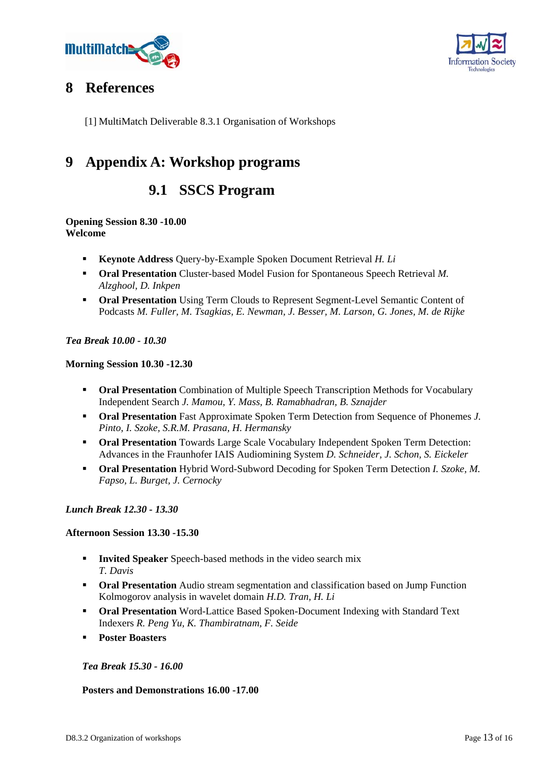



### **8 References**

[1] MultiMatch Deliverable 8.3.1 Organisation of Workshops

## **9 Appendix A: Workshop programs**

### **9.1 SSCS Program**

### **Opening Session 8.30 -10.00 Welcome**

- **Keynote Address** Query-by-Example Spoken Document Retrieval *H. Li*
- **Oral Presentation** Cluster-based Model Fusion for Spontaneous Speech Retrieval *M*. *Alzghool, D. Inkpen*
- **Oral Presentation** Using Term Clouds to Represent Segment-Level Semantic Content of Podcasts *M. Fuller, M. Tsagkias, E. Newman, J. Besser, M. Larson, G. Jones, M. de Rijke*

### *Tea Break 10.00 - 10.30*

### **Morning Session 10.30 -12.30**

- **Oral Presentation** Combination of Multiple Speech Transcription Methods for Vocabulary Independent Search *J. Mamou, Y. Mass, B. Ramabhadran, B. Sznajder*
- **Oral Presentation** Fast Approximate Spoken Term Detection from Sequence of Phonemes *J. Pinto, I. Szoke, S.R.M. Prasana, H. Hermansky*
- **Oral Presentation** Towards Large Scale Vocabulary Independent Spoken Term Detection: Advances in the Fraunhofer IAIS Audiomining System *D. Schneider, J. Schon, S. Eickeler*
- **Oral Presentation** Hybrid Word-Subword Decoding for Spoken Term Detection *I. Szoke, M. Fapso, L. Burget, J. Cernocky*

### *Lunch Break 12.30 - 13.30*

### **Afternoon Session 13.30 -15.30**

- **Invited Speaker** Speech-based methods in the video search mix *T. Davis*
- **Oral Presentation** Audio stream segmentation and classification based on Jump Function Kolmogorov analysis in wavelet domain *H.D. Tran, H. Li*
- **Oral Presentation** Word-Lattice Based Spoken-Document Indexing with Standard Text Indexers *R. Peng Yu, K. Thambiratnam, F. Seide*
- **Poster Boasters**

### *Tea Break 15.30 - 16.00*

### **Posters and Demonstrations 16.00 -17.00**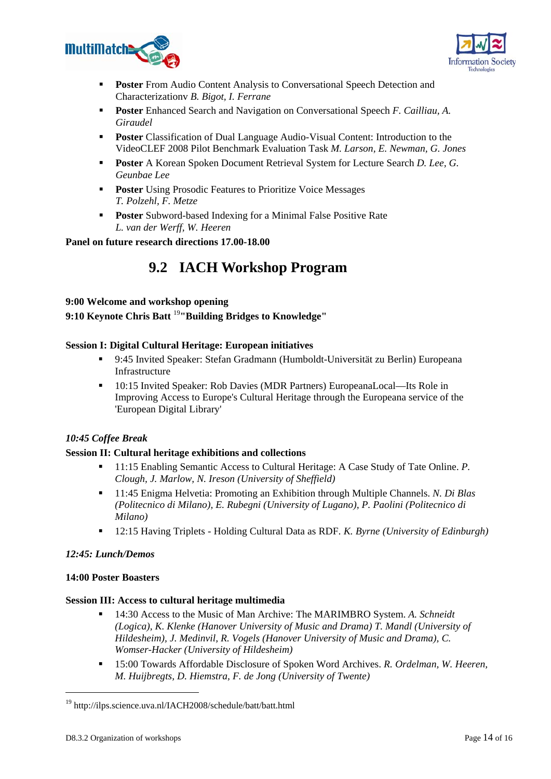



- **Poster** From Audio Content Analysis to Conversational Speech Detection and Characterizationv *B. Bigot, I. Ferrane*
- **Poster** Enhanced Search and Navigation on Conversational Speech *F. Cailliau, A. Giraudel*
- **Poster** Classification of Dual Language Audio-Visual Content: Introduction to the VideoCLEF 2008 Pilot Benchmark Evaluation Task *M. Larson, E. Newman, G. Jones*
- **Poster** A Korean Spoken Document Retrieval System for Lecture Search *D. Lee, G. Geunbae Lee*
- **Poster** Using Prosodic Features to Prioritize Voice Messages *T. Polzehl, F. Metze*
- **Poster** Subword-based Indexing for a Minimal False Positive Rate *L. van der Werff, W. Heeren*

### **Panel on future research directions 17.00-18.00**

## **9.2 IACH Workshop Program**

### **9:00 Welcome and workshop opening**

**9:10 Keynote Chris Batt** <sup>19</sup>**"Building Bridges to Knowledge"** 

### **Session I: Digital Cultural Heritage: European initiatives**

- 9:45 Invited Speaker: Stefan Gradmann (Humboldt-Universität zu Berlin) Europeana Infrastructure
- 10:15 Invited Speaker: Rob Davies (MDR Partners) EuropeanaLocal—Its Role in Improving Access to Europe's Cultural Heritage through the Europeana service of the 'European Digital Library'

### *10:45 Coffee Break*

### **Session II: Cultural heritage exhibitions and collections**

- 11:15 Enabling Semantic Access to Cultural Heritage: A Case Study of Tate Online. *P. Clough, J. Marlow, N. Ireson (University of Sheffield)*
- 11:45 Enigma Helvetia: Promoting an Exhibition through Multiple Channels. *N. Di Blas (Politecnico di Milano), E. Rubegni (University of Lugano), P. Paolini (Politecnico di Milano)*
- 12:15 Having Triplets Holding Cultural Data as RDF. *K. Byrne (University of Edinburgh)*

### *12:45: Lunch/Demos*

### **14:00 Poster Boasters**

### **Session III: Access to cultural heritage multimedia**

- 14:30 Access to the Music of Man Archive: The MARIMBRO System. *A. Schneidt (Logica), K. Klenke (Hanover University of Music and Drama) T. Mandl (University of Hildesheim), J. Medinvil, R. Vogels (Hanover University of Music and Drama), C. Womser-Hacker (University of Hildesheim)*
- 15:00 Towards Affordable Disclosure of Spoken Word Archives. *R. Ordelman, W. Heeren, M. Huijbregts, D. Hiemstra, F. de Jong (University of Twente)*

-

<sup>19</sup> http://ilps.science.uva.nl/IACH2008/schedule/batt/batt.html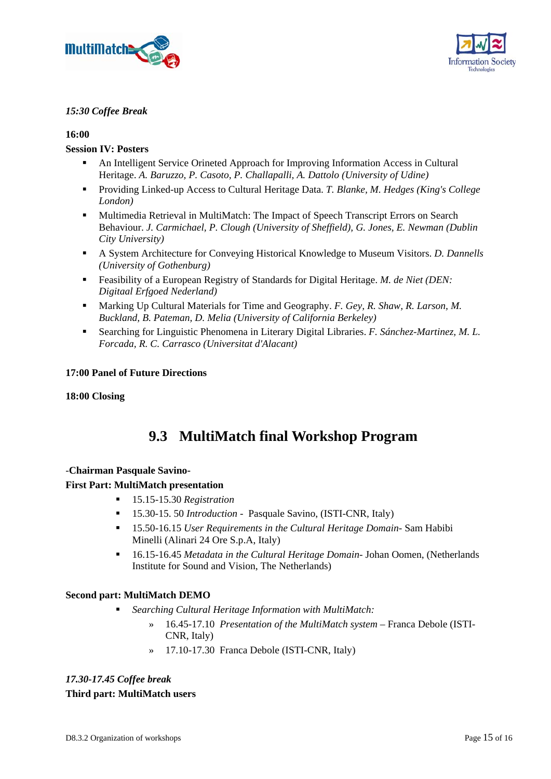



### *15:30 Coffee Break*

### **16:00**

### **Session IV: Posters**

- An Intelligent Service Orineted Approach for Improving Information Access in Cultural Heritage. *A. Baruzzo, P. Casoto, P. Challapalli, A. Dattolo (University of Udine)*
- Providing Linked-up Access to Cultural Heritage Data. *T. Blanke, M. Hedges (King's College London)*
- Multimedia Retrieval in MultiMatch: The Impact of Speech Transcript Errors on Search Behaviour. *J. Carmichael, P. Clough (University of Sheffield), G. Jones, E. Newman (Dublin City University)*
- A System Architecture for Conveying Historical Knowledge to Museum Visitors. *D. Dannells (University of Gothenburg)*
- Feasibility of a European Registry of Standards for Digital Heritage. *M. de Niet (DEN: Digitaal Erfgoed Nederland)*
- Marking Up Cultural Materials for Time and Geography. *F. Gey, R. Shaw, R. Larson, M. Buckland, B. Pateman, D. Melia (University of California Berkeley)*
- Searching for Linguistic Phenomena in Literary Digital Libraries. *F. Sánchez-Martinez, M. L. Forcada, R. C. Carrasco (Universitat d'Alacant)*

### **17:00 Panel of Future Directions**

### **18:00 Closing**

## **9.3 MultiMatch final Workshop Program**

### -**Chairman Pasquale Savino-**

### **First Part: MultiMatch presentation**

- 15.15-15.30 *Registration*
- 15.30-15. 50 *Introduction*  Pasquale Savino, (ISTI-CNR, Italy)
- 15.50-16.15 *User Requirements in the Cultural Heritage Domain* Sam Habibi Minelli (Alinari 24 Ore S.p.A, Italy)
- 16.15-16.45 *Metadata in the Cultural Heritage Domain* Johan Oomen, (Netherlands Institute for Sound and Vision, The Netherlands)

### **Second part: MultiMatch DEMO**

- *Searching Cultural Heritage Information with MultiMatch:* 
	- » 16.45-17.10 *Presentation of the MultiMatch system* Franca Debole (ISTI-CNR, Italy)
	- » 17.10-17.30 Franca Debole (ISTI-CNR, Italy)

### *17.30-17.45 Coffee break*  **Third part: MultiMatch users**